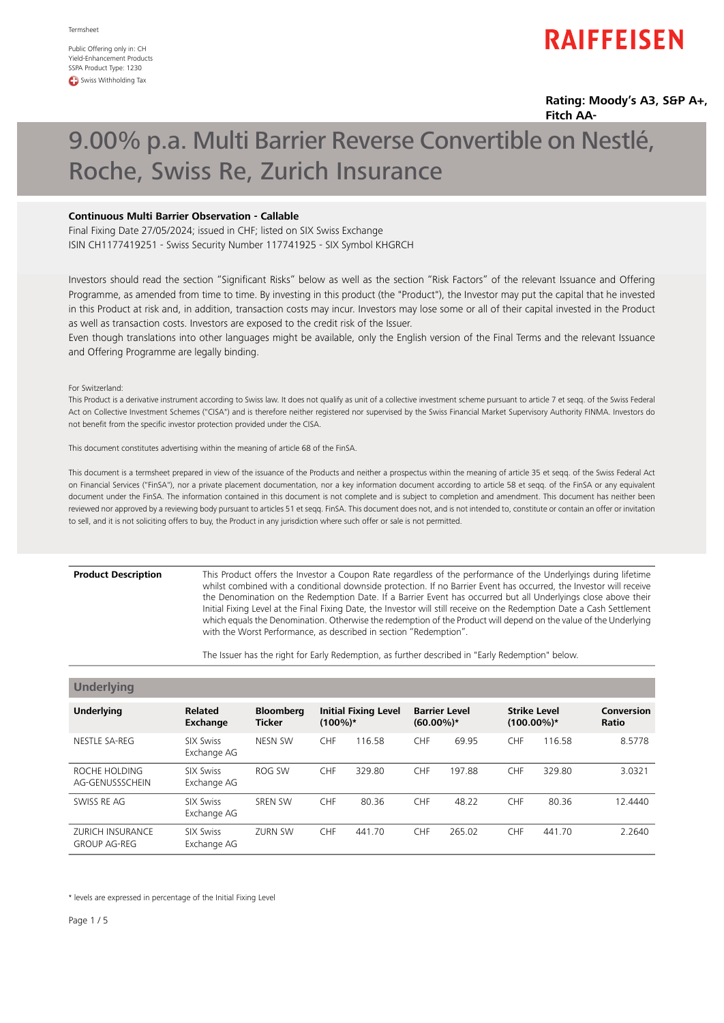Public Offering only in: CH Yield-Enhancement Products SSPA Product Type: 1230 **CD** Swiss Withholding Tax

## **RAIFFEISEN**

**Rating: Moody's A3, S&P A+, Fitch AA-**

# 9.00% p.a. Multi Barrier Reverse Convertible on Nestlé, Roche, Swiss Re, Zurich Insurance

### **Continuous Multi Barrier Observation - Callable**

Final Fixing Date 27/05/2024; issued in CHF; listed on SIX Swiss Exchange ISIN CH1177419251 - Swiss Security Number 117741925 - SIX Symbol KHGRCH

Investors should read the section "Significant Risks" below as well as the section "Risk Factors" of the relevant Issuance and Offering Programme, as amended from time to time. By investing in this product (the "Product"), the Investor may put the capital that he invested in this Product at risk and, in addition, transaction costs may incur. Investors may lose some or all of their capital invested in the Product as well as transaction costs. Investors are exposed to the credit risk of the Issuer.

Even though translations into other languages might be available, only the English version of the Final Terms and the relevant Issuance and Offering Programme are legally binding.

For Switzerland:

This Product is a derivative instrument according to Swiss law. It does not qualify as unit of a collective investment scheme pursuant to article 7 et seqq. of the Swiss Federal Act on Collective Investment Schemes ("CISA") and is therefore neither registered nor supervised by the Swiss Financial Market Supervisory Authority FINMA. Investors do not benefit from the specific investor protection provided under the CISA.

This document constitutes advertising within the meaning of article 68 of the FinSA.

This document is a termsheet prepared in view of the issuance of the Products and neither a prospectus within the meaning of article 35 et seqq. of the Swiss Federal Act on Financial Services ("FinSA"), nor a private placement documentation, nor a key information document according to article 58 et seqq. of the FinSA or any equivalent document under the FinSA. The information contained in this document is not complete and is subject to completion and amendment. This document has neither been reviewed nor approved by a reviewing body pursuant to articles 51 et seqq. FinSA. This document does not, and is not intended to, constitute or contain an offer or invitation to sell, and it is not soliciting offers to buy, the Product in any jurisdiction where such offer or sale is not permitted.

### **Product Description**

This Product offers the Investor a Coupon Rate regardless of the performance of the Underlyings during lifetime whilst combined with a conditional downside protection. If no Barrier Event has occurred, the Investor will receive the Denomination on the Redemption Date. If a Barrier Event has occurred but all Underlyings close above their Initial Fixing Level at the Final Fixing Date, the Investor will still receive on the Redemption Date a Cash Settlement which equals the Denomination. Otherwise the redemption of the Product will depend on the value of the Underlying with the Worst Performance, as described in section "Redemption".

The Issuer has the right for Early Redemption, as further described in "Early Redemption" below.

| <b>Underlying</b>                              |                                   |                                   |            |                             |                                      |        |                                      |        |                            |
|------------------------------------------------|-----------------------------------|-----------------------------------|------------|-----------------------------|--------------------------------------|--------|--------------------------------------|--------|----------------------------|
| <b>Underlying</b>                              | <b>Related</b><br><b>Exchange</b> | <b>Bloomberg</b><br><b>Ticker</b> | $(100\%)*$ | <b>Initial Fixing Level</b> | <b>Barrier Level</b><br>$(60.00\%)*$ |        | <b>Strike Level</b><br>$(100.00\%)*$ |        | Conversion<br><b>Ratio</b> |
| NESTLE SA-REG                                  | <b>SIX Swiss</b><br>Exchange AG   | NESN SW                           | <b>CHF</b> | 116.58                      | <b>CHF</b>                           | 69.95  | <b>CHF</b>                           | 116.58 | 8.5778                     |
| ROCHE HOLDING<br>AG-GENUSSSCHEIN               | <b>SIX Swiss</b><br>Exchange AG   | ROG SW                            | <b>CHF</b> | 329.80                      | <b>CHF</b>                           | 197.88 | <b>CHF</b>                           | 329.80 | 3.0321                     |
| SWISS RE AG                                    | <b>SIX Swiss</b><br>Exchange AG   | <b>SREN SW</b>                    | <b>CHF</b> | 80.36                       | <b>CHF</b>                           | 48.22  | <b>CHF</b>                           | 80.36  | 12.4440                    |
| <b>ZURICH INSURANCE</b><br><b>GROUP AG-REG</b> | <b>SIX Swiss</b><br>Exchange AG   | <b>ZURN SW</b>                    | CHF        | 441.70                      | <b>CHF</b>                           | 265.02 | <b>CHF</b>                           | 441.70 | 2.2640                     |

\* levels are expressed in percentage of the Initial Fixing Level

Page 1/5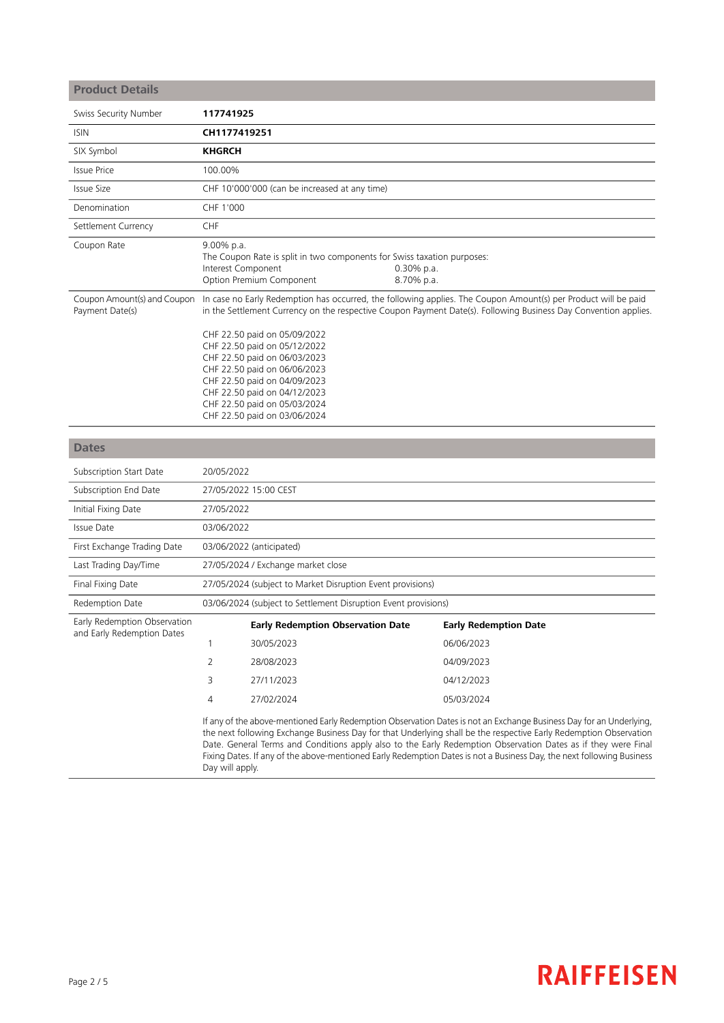| <b>Product Details</b>                                     |                                                                                                                                                                                                                                                                                                                                                                                                                                                                                                       |                                                                                                                                                                                                                                                              |                             |                                                                                                                                                                                                                                   |  |
|------------------------------------------------------------|-------------------------------------------------------------------------------------------------------------------------------------------------------------------------------------------------------------------------------------------------------------------------------------------------------------------------------------------------------------------------------------------------------------------------------------------------------------------------------------------------------|--------------------------------------------------------------------------------------------------------------------------------------------------------------------------------------------------------------------------------------------------------------|-----------------------------|-----------------------------------------------------------------------------------------------------------------------------------------------------------------------------------------------------------------------------------|--|
| Swiss Security Number                                      | 117741925                                                                                                                                                                                                                                                                                                                                                                                                                                                                                             |                                                                                                                                                                                                                                                              |                             |                                                                                                                                                                                                                                   |  |
| <b>ISIN</b>                                                | CH1177419251                                                                                                                                                                                                                                                                                                                                                                                                                                                                                          |                                                                                                                                                                                                                                                              |                             |                                                                                                                                                                                                                                   |  |
| SIX Symbol                                                 | <b>KHGRCH</b>                                                                                                                                                                                                                                                                                                                                                                                                                                                                                         |                                                                                                                                                                                                                                                              |                             |                                                                                                                                                                                                                                   |  |
| <b>Issue Price</b>                                         | 100.00%                                                                                                                                                                                                                                                                                                                                                                                                                                                                                               |                                                                                                                                                                                                                                                              |                             |                                                                                                                                                                                                                                   |  |
| Issue Size                                                 | CHF 10'000'000 (can be increased at any time)                                                                                                                                                                                                                                                                                                                                                                                                                                                         |                                                                                                                                                                                                                                                              |                             |                                                                                                                                                                                                                                   |  |
| Denomination                                               | CHF 1'000                                                                                                                                                                                                                                                                                                                                                                                                                                                                                             |                                                                                                                                                                                                                                                              |                             |                                                                                                                                                                                                                                   |  |
| Settlement Currency                                        | CHF                                                                                                                                                                                                                                                                                                                                                                                                                                                                                                   |                                                                                                                                                                                                                                                              |                             |                                                                                                                                                                                                                                   |  |
| Coupon Rate                                                | 9.00% p.a.<br>Interest Component                                                                                                                                                                                                                                                                                                                                                                                                                                                                      | The Coupon Rate is split in two components for Swiss taxation purposes:<br>Option Premium Component                                                                                                                                                          | $0.30\%$ p.a.<br>8.70% p.a. |                                                                                                                                                                                                                                   |  |
| Coupon Amount(s) and Coupon<br>Payment Date(s)             |                                                                                                                                                                                                                                                                                                                                                                                                                                                                                                       | CHF 22.50 paid on 05/09/2022<br>CHF 22.50 paid on 05/12/2022<br>CHF 22.50 paid on 06/03/2023<br>CHF 22.50 paid on 06/06/2023<br>CHF 22.50 paid on 04/09/2023<br>CHF 22.50 paid on 04/12/2023<br>CHF 22.50 paid on 05/03/2024<br>CHF 22.50 paid on 03/06/2024 |                             | In case no Early Redemption has occurred, the following applies. The Coupon Amount(s) per Product will be paid<br>in the Settlement Currency on the respective Coupon Payment Date(s). Following Business Day Convention applies. |  |
|                                                            |                                                                                                                                                                                                                                                                                                                                                                                                                                                                                                       |                                                                                                                                                                                                                                                              |                             |                                                                                                                                                                                                                                   |  |
| <b>Dates</b>                                               |                                                                                                                                                                                                                                                                                                                                                                                                                                                                                                       |                                                                                                                                                                                                                                                              |                             |                                                                                                                                                                                                                                   |  |
| Subscription Start Date                                    | 20/05/2022                                                                                                                                                                                                                                                                                                                                                                                                                                                                                            |                                                                                                                                                                                                                                                              |                             |                                                                                                                                                                                                                                   |  |
| Subscription End Date                                      | 27/05/2022 15:00 CEST                                                                                                                                                                                                                                                                                                                                                                                                                                                                                 |                                                                                                                                                                                                                                                              |                             |                                                                                                                                                                                                                                   |  |
| Initial Fixing Date                                        | 27/05/2022                                                                                                                                                                                                                                                                                                                                                                                                                                                                                            |                                                                                                                                                                                                                                                              |                             |                                                                                                                                                                                                                                   |  |
| <b>Issue Date</b>                                          | 03/06/2022                                                                                                                                                                                                                                                                                                                                                                                                                                                                                            |                                                                                                                                                                                                                                                              |                             |                                                                                                                                                                                                                                   |  |
| First Exchange Trading Date                                | 03/06/2022 (anticipated)                                                                                                                                                                                                                                                                                                                                                                                                                                                                              |                                                                                                                                                                                                                                                              |                             |                                                                                                                                                                                                                                   |  |
| Last Trading Day/Time                                      | 27/05/2024 / Exchange market close                                                                                                                                                                                                                                                                                                                                                                                                                                                                    |                                                                                                                                                                                                                                                              |                             |                                                                                                                                                                                                                                   |  |
| Final Fixing Date                                          | 27/05/2024 (subject to Market Disruption Event provisions)                                                                                                                                                                                                                                                                                                                                                                                                                                            |                                                                                                                                                                                                                                                              |                             |                                                                                                                                                                                                                                   |  |
| Redemption Date                                            |                                                                                                                                                                                                                                                                                                                                                                                                                                                                                                       | 03/06/2024 (subject to Settlement Disruption Event provisions)                                                                                                                                                                                               |                             |                                                                                                                                                                                                                                   |  |
| Early Redemption Observation<br>and Early Redemption Dates |                                                                                                                                                                                                                                                                                                                                                                                                                                                                                                       | <b>Early Redemption Observation Date</b>                                                                                                                                                                                                                     |                             | <b>Early Redemption Date</b>                                                                                                                                                                                                      |  |
|                                                            | $\mathbf{1}$                                                                                                                                                                                                                                                                                                                                                                                                                                                                                          | 30/05/2023                                                                                                                                                                                                                                                   |                             | 06/06/2023                                                                                                                                                                                                                        |  |
|                                                            | $\overline{2}$                                                                                                                                                                                                                                                                                                                                                                                                                                                                                        | 28/08/2023                                                                                                                                                                                                                                                   |                             | 04/09/2023                                                                                                                                                                                                                        |  |
|                                                            | 3                                                                                                                                                                                                                                                                                                                                                                                                                                                                                                     | 27/11/2023                                                                                                                                                                                                                                                   |                             | 04/12/2023                                                                                                                                                                                                                        |  |
|                                                            | 4                                                                                                                                                                                                                                                                                                                                                                                                                                                                                                     | 27/02/2024                                                                                                                                                                                                                                                   |                             | 05/03/2024                                                                                                                                                                                                                        |  |
|                                                            | If any of the above-mentioned Early Redemption Observation Dates is not an Exchange Business Day for an Underlying,<br>the next following Exchange Business Day for that Underlying shall be the respective Early Redemption Observation<br>Date. General Terms and Conditions apply also to the Early Redemption Observation Dates as if they were Final<br>Fixing Dates. If any of the above-mentioned Early Redemption Dates is not a Business Day, the next following Business<br>Day will apply. |                                                                                                                                                                                                                                                              |                             |                                                                                                                                                                                                                                   |  |

# **RAIFFEISEN**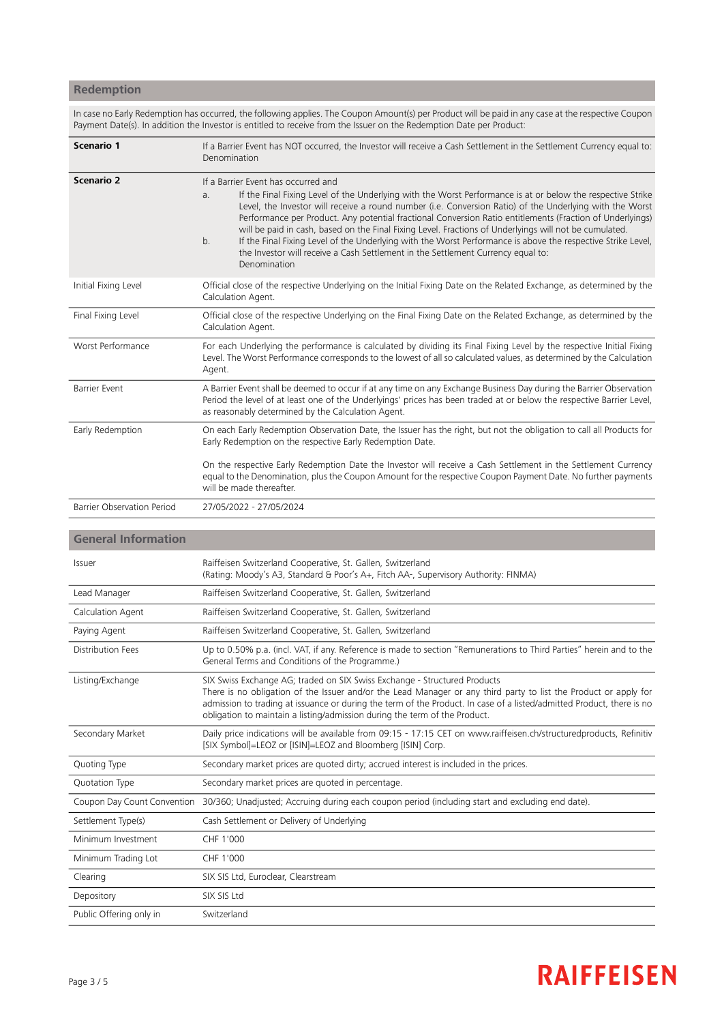## **Redemption**

In case no Early Redemption has occurred, the following applies. The Coupon Amount(s) per Product will be paid in any case at the respective Coupon Payment Date(s). In addition the Investor is entitled to receive from the Issuer on the Redemption Date per Product:

| Scenario 1                        | If a Barrier Event has NOT occurred, the Investor will receive a Cash Settlement in the Settlement Currency equal to:<br>Denomination                                                                                                                                                                                                                                                                                                                                                                                                                                                                                                                                                                                                         |  |  |
|-----------------------------------|-----------------------------------------------------------------------------------------------------------------------------------------------------------------------------------------------------------------------------------------------------------------------------------------------------------------------------------------------------------------------------------------------------------------------------------------------------------------------------------------------------------------------------------------------------------------------------------------------------------------------------------------------------------------------------------------------------------------------------------------------|--|--|
| <b>Scenario 2</b>                 | If a Barrier Event has occurred and<br>If the Final Fixing Level of the Underlying with the Worst Performance is at or below the respective Strike<br>a <sub>r</sub><br>Level, the Investor will receive a round number (i.e. Conversion Ratio) of the Underlying with the Worst<br>Performance per Product. Any potential fractional Conversion Ratio entitlements (Fraction of Underlyings)<br>will be paid in cash, based on the Final Fixing Level. Fractions of Underlyings will not be cumulated.<br>If the Final Fixing Level of the Underlying with the Worst Performance is above the respective Strike Level,<br>b <sub>1</sub><br>the Investor will receive a Cash Settlement in the Settlement Currency equal to:<br>Denomination |  |  |
| Initial Fixing Level              | Official close of the respective Underlying on the Initial Fixing Date on the Related Exchange, as determined by the<br>Calculation Agent.                                                                                                                                                                                                                                                                                                                                                                                                                                                                                                                                                                                                    |  |  |
| Final Fixing Level                | Official close of the respective Underlying on the Final Fixing Date on the Related Exchange, as determined by the<br>Calculation Agent.                                                                                                                                                                                                                                                                                                                                                                                                                                                                                                                                                                                                      |  |  |
| Worst Performance                 | For each Underlying the performance is calculated by dividing its Final Fixing Level by the respective Initial Fixing<br>Level. The Worst Performance corresponds to the lowest of all so calculated values, as determined by the Calculation<br>Agent.                                                                                                                                                                                                                                                                                                                                                                                                                                                                                       |  |  |
| <b>Barrier Event</b>              | A Barrier Event shall be deemed to occur if at any time on any Exchange Business Day during the Barrier Observation<br>Period the level of at least one of the Underlyings' prices has been traded at or below the respective Barrier Level,<br>as reasonably determined by the Calculation Agent.                                                                                                                                                                                                                                                                                                                                                                                                                                            |  |  |
| Early Redemption                  | On each Early Redemption Observation Date, the Issuer has the right, but not the obligation to call all Products for<br>Early Redemption on the respective Early Redemption Date.                                                                                                                                                                                                                                                                                                                                                                                                                                                                                                                                                             |  |  |
|                                   | On the respective Early Redemption Date the Investor will receive a Cash Settlement in the Settlement Currency<br>equal to the Denomination, plus the Coupon Amount for the respective Coupon Payment Date. No further payments<br>will be made thereafter.                                                                                                                                                                                                                                                                                                                                                                                                                                                                                   |  |  |
| <b>Barrier Observation Period</b> | 27/05/2022 - 27/05/2024                                                                                                                                                                                                                                                                                                                                                                                                                                                                                                                                                                                                                                                                                                                       |  |  |

### **General Information**

| Issuer                      | Raiffeisen Switzerland Cooperative, St. Gallen, Switzerland<br>(Rating: Moody's A3, Standard & Poor's A+, Fitch AA-, Supervisory Authority: FINMA)                                                                                                                                                                                                                                                   |
|-----------------------------|------------------------------------------------------------------------------------------------------------------------------------------------------------------------------------------------------------------------------------------------------------------------------------------------------------------------------------------------------------------------------------------------------|
| Lead Manager                | Raiffeisen Switzerland Cooperative, St. Gallen, Switzerland                                                                                                                                                                                                                                                                                                                                          |
| Calculation Agent           | Raiffeisen Switzerland Cooperative, St. Gallen, Switzerland                                                                                                                                                                                                                                                                                                                                          |
| Paying Agent                | Raiffeisen Switzerland Cooperative, St. Gallen, Switzerland                                                                                                                                                                                                                                                                                                                                          |
| Distribution Fees           | Up to 0.50% p.a. (incl. VAT, if any. Reference is made to section "Remunerations to Third Parties" herein and to the<br>General Terms and Conditions of the Programme.)                                                                                                                                                                                                                              |
| Listing/Exchange            | SIX Swiss Exchange AG; traded on SIX Swiss Exchange - Structured Products<br>There is no obligation of the Issuer and/or the Lead Manager or any third party to list the Product or apply for<br>admission to trading at issuance or during the term of the Product. In case of a listed/admitted Product, there is no<br>obligation to maintain a listing/admission during the term of the Product. |
| Secondary Market            | Daily price indications will be available from 09:15 - 17:15 CET on www.raiffeisen.ch/structuredproducts, Refinitiv<br>[SIX Symbol]=LEOZ or [ISIN]=LEOZ and Bloomberg [ISIN] Corp.                                                                                                                                                                                                                   |
| Quoting Type                | Secondary market prices are quoted dirty; accrued interest is included in the prices.                                                                                                                                                                                                                                                                                                                |
| Quotation Type              | Secondary market prices are quoted in percentage.                                                                                                                                                                                                                                                                                                                                                    |
| Coupon Day Count Convention | 30/360; Unadjusted; Accruing during each coupon period (including start and excluding end date).                                                                                                                                                                                                                                                                                                     |
| Settlement Type(s)          | Cash Settlement or Delivery of Underlying                                                                                                                                                                                                                                                                                                                                                            |
| Minimum Investment          | CHF 1'000                                                                                                                                                                                                                                                                                                                                                                                            |
| Minimum Trading Lot         | CHF 1'000                                                                                                                                                                                                                                                                                                                                                                                            |
| Clearing                    | SIX SIS Ltd, Euroclear, Clearstream                                                                                                                                                                                                                                                                                                                                                                  |
| Depository                  | SIX SIS Ltd                                                                                                                                                                                                                                                                                                                                                                                          |
| Public Offering only in     | Switzerland                                                                                                                                                                                                                                                                                                                                                                                          |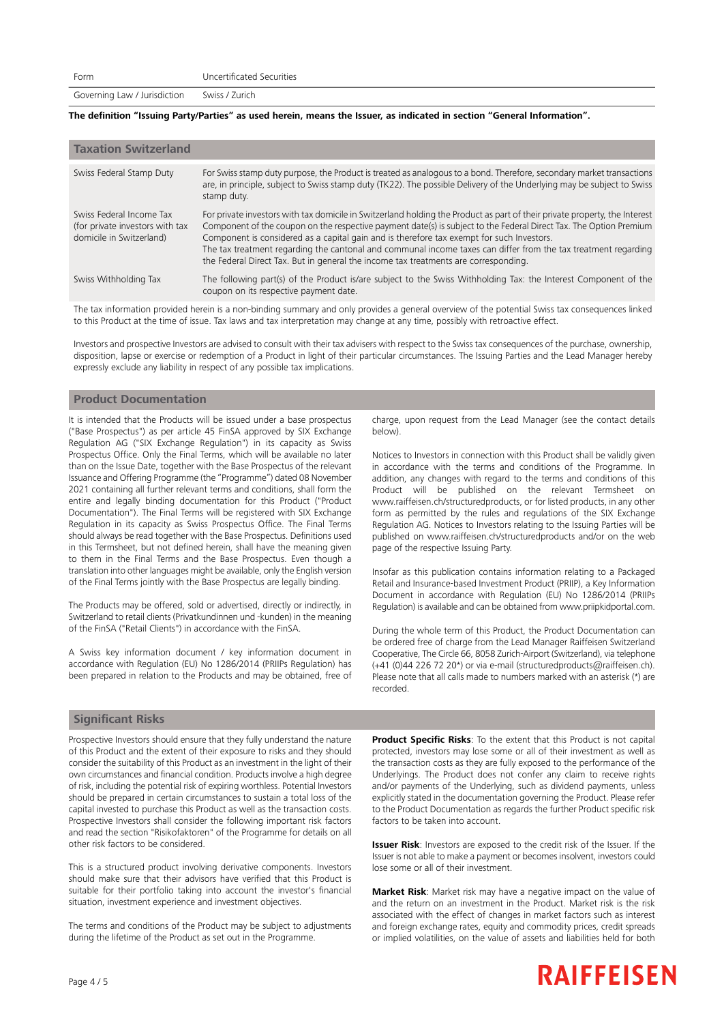Governing Law / Jurisdiction Swiss / Zurich

### The definition "Issuing Party/Parties" as used herein, means the Issuer, as indicated in section "General Information".

| <b>Taxation Switzerland</b>                                                             |                                                                                                                                                                                                                                                                                                                                                                                                                                                                                                                                                        |
|-----------------------------------------------------------------------------------------|--------------------------------------------------------------------------------------------------------------------------------------------------------------------------------------------------------------------------------------------------------------------------------------------------------------------------------------------------------------------------------------------------------------------------------------------------------------------------------------------------------------------------------------------------------|
| Swiss Federal Stamp Duty                                                                | For Swiss stamp duty purpose, the Product is treated as analogous to a bond. Therefore, secondary market transactions<br>are, in principle, subject to Swiss stamp duty (TK22). The possible Delivery of the Underlying may be subject to Swiss<br>stamp duty.                                                                                                                                                                                                                                                                                         |
| Swiss Federal Income Tax<br>(for private investors with tax<br>domicile in Switzerland) | For private investors with tax domicile in Switzerland holding the Product as part of their private property, the Interest<br>Component of the coupon on the respective payment date(s) is subject to the Federal Direct Tax. The Option Premium<br>Component is considered as a capital gain and is therefore tax exempt for such Investors.<br>The tax treatment regarding the cantonal and communal income taxes can differ from the tax treatment regarding<br>the Federal Direct Tax. But in general the income tax treatments are corresponding. |
| Swiss Withholding Tax                                                                   | The following part(s) of the Product is/are subject to the Swiss Withholding Tax: the Interest Component of the<br>coupon on its respective payment date.                                                                                                                                                                                                                                                                                                                                                                                              |

The tax information provided herein is a non-binding summary and only provides a general overview of the potential Swiss tax consequences linked to this Product at the time of issue. Tax laws and tax interpretation may change at any time, possibly with retroactive effect.

Investors and prospective Investors are advised to consult with their tax advisers with respect to the Swiss tax consequences of the purchase, ownership, disposition, lapse or exercise or redemption of a Product in light of their particular circumstances. The Issuing Parties and the Lead Manager hereby expressly exclude any liability in respect of any possible tax implications.

### **Product Documentation**

It is intended that the Products will be issued under a base prospectus ("Base Prospectus") as per article 45 FinSA approved by SIX Exchange Regulation AG ("SIX Exchange Regulation") in its capacity as Swiss Prospectus Office. Only the Final Terms, which will be available no later than on the Issue Date, together with the Base Prospectus of the relevant Issuance and Offering Programme (the "Programme") dated 08 November 2021 containing all further relevant terms and conditions, shall form the entire and legally binding documentation for this Product ("Product Documentation"). The Final Terms will be registered with SIX Exchange Regulation in its capacity as Swiss Prospectus Office. The Final Terms should always be read together with the Base Prospectus. Definitions used in this Termsheet, but not defined herein, shall have the meaning given to them in the Final Terms and the Base Prospectus. Even though a translation into other languages might be available, only the English version of the Final Terms jointly with the Base Prospectus are legally binding.

The Products may be offered, sold or advertised, directly or indirectly, in Switzerland to retail clients (Privatkundinnen und -kunden) in the meaning of the FinSA ("Retail Clients") in accordance with the FinSA.

A Swiss key information document / key information document in accordance with Regulation (EU) No 1286/2014 (PRIIPs Regulation) has been prepared in relation to the Products and may be obtained, free of charge, upon request from the Lead Manager (see the contact details below).

Notices to Investors in connection with this Product shall be validly given in accordance with the terms and conditions of the Programme. In addition, any changes with regard to the terms and conditions of this Product will be published on the relevant Termsheet on www.raiffeisen.ch/structuredproducts, or for listed products, in any other form as permitted by the rules and regulations of the SIX Exchange Regulation AG. Notices to Investors relating to the Issuing Parties will be published on www.raiffeisen.ch/structuredproducts and/or on the web page of the respective Issuing Party.

Insofar as this publication contains information relating to a Packaged Retail and Insurance-based Investment Product (PRIIP), a Key Information Document in accordance with Regulation (EU) No 1286/2014 (PRIIPs Regulation) is available and can be obtained from www.priipkidportal.com.

During the whole term of this Product, the Product Documentation can be ordered free of charge from the Lead Manager Raiffeisen Switzerland Cooperative, The Circle 66, 8058 Zurich-Airport (Switzerland), via telephone (+41 (0)44 226 72 20\*) or via e-mail (structuredproducts@raiffeisen.ch). Please note that all calls made to numbers marked with an asterisk (\*) are recorded.

### **Significant Risks**

Prospective Investors should ensure that they fully understand the nature of this Product and the extent of their exposure to risks and they should consider the suitability of this Product as an investment in the light of their own circumstances and financial condition. Products involve a high degree of risk, including the potential risk of expiring worthless. Potential Investors should be prepared in certain circumstances to sustain a total loss of the capital invested to purchase this Product as well as the transaction costs. Prospective Investors shall consider the following important risk factors and read the section "Risikofaktoren" of the Programme for details on all other risk factors to be considered.

This is a structured product involving derivative components. Investors should make sure that their advisors have verified that this Product is suitable for their portfolio taking into account the investor's financial situation, investment experience and investment objectives.

The terms and conditions of the Product may be subject to adjustments during the lifetime of the Product as set out in the Programme.

**Product Specific Risks**: To the extent that this Product is not capital protected, investors may lose some or all of their investment as well as the transaction costs as they are fully exposed to the performance of the Underlyings. The Product does not confer any claim to receive rights and/or payments of the Underlying, such as dividend payments, unless explicitly stated in the documentation governing the Product. Please refer to the Product Documentation as regards the further Product specific risk factors to be taken into account.

**Issuer Risk**: Investors are exposed to the credit risk of the Issuer. If the Issuer is not able to make a payment or becomes insolvent, investors could lose some or all of their investment.

**Market Risk**: Market risk may have a negative impact on the value of and the return on an investment in the Product. Market risk is the risk associated with the effect of changes in market factors such as interest and foreign exchange rates, equity and commodity prices, credit spreads or implied volatilities, on the value of assets and liabilities held for both

## **RAIFFEISEN**